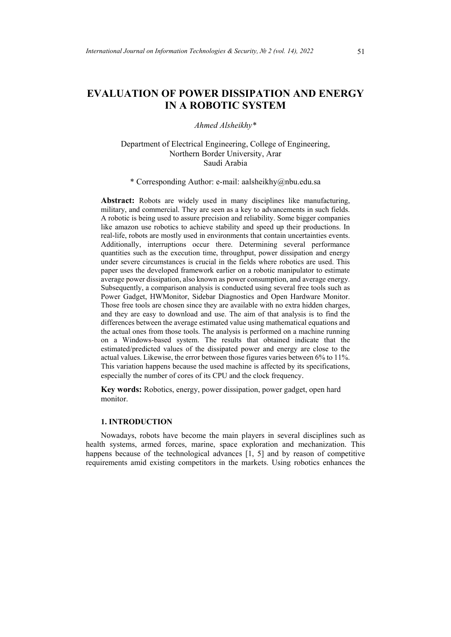# **EVALUATION OF POWER DISSIPATION AND ENERGY IN A ROBOTIC SYSTEM**

*Ahmed Alsheikhy\**

## Department of Electrical Engineering, College of Engineering, Northern Border University, Arar Saudi Arabia

\* Corresponding Author: e-mail: aalsheikhy@nbu.edu.sa

**Abstract:** Robots are widely used in many disciplines like manufacturing, military, and commercial. They are seen as a key to advancements in such fields. A robotic is being used to assure precision and reliability. Some bigger companies like amazon use robotics to achieve stability and speed up their productions. In real-life, robots are mostly used in environments that contain uncertainties events. Additionally, interruptions occur there. Determining several performance quantities such as the execution time, throughput, power dissipation and energy under severe circumstances is crucial in the fields where robotics are used. This paper uses the developed framework earlier on a robotic manipulator to estimate average power dissipation, also known as power consumption, and average energy. Subsequently, a comparison analysis is conducted using several free tools such as Power Gadget, HWMonitor, Sidebar Diagnostics and Open Hardware Monitor. Those free tools are chosen since they are available with no extra hidden charges, and they are easy to download and use. The aim of that analysis is to find the differences between the average estimated value using mathematical equations and the actual ones from those tools. The analysis is performed on a machine running on a Windows-based system. The results that obtained indicate that the estimated/predicted values of the dissipated power and energy are close to the actual values. Likewise, the error between those figures varies between 6% to 11%. This variation happens because the used machine is affected by its specifications, especially the number of cores of its CPU and the clock frequency.

**Key words:** Robotics, energy, power dissipation, power gadget, open hard monitor.

## **1. INTRODUCTION**

Nowadays, robots have become the main players in several disciplines such as health systems, armed forces, marine, space exploration and mechanization. This happens because of the technological advances  $\begin{bmatrix} 1, 5 \end{bmatrix}$  and by reason of competitive requirements amid existing competitors in the markets. Using robotics enhances the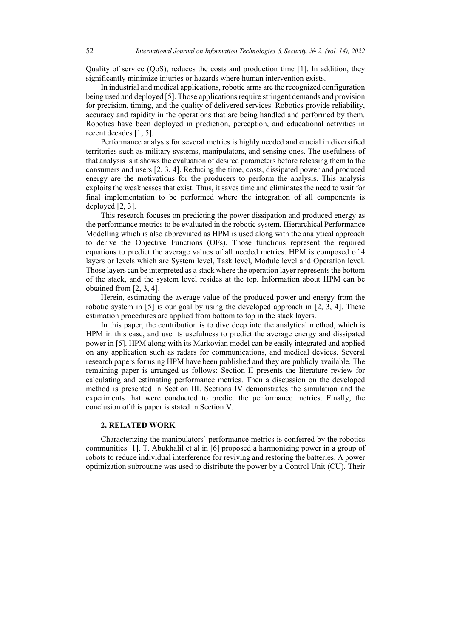Quality of service (QoS), reduces the costs and production time [1]. In addition, they significantly minimize injuries or hazards where human intervention exists.

In industrial and medical applications, robotic arms are the recognized configuration being used and deployed [5]. Those applications require stringent demands and provision for precision, timing, and the quality of delivered services. Robotics provide reliability, accuracy and rapidity in the operations that are being handled and performed by them. Robotics have been deployed in prediction, perception, and educational activities in recent decades [1, 5].

Performance analysis for several metrics is highly needed and crucial in diversified territories such as military systems, manipulators, and sensing ones. The usefulness of that analysis is it shows the evaluation of desired parameters before releasing them to the consumers and users [2, 3, 4]. Reducing the time, costs, dissipated power and produced energy are the motivations for the producers to perform the analysis. This analysis exploits the weaknesses that exist. Thus, it saves time and eliminates the need to wait for final implementation to be performed where the integration of all components is deployed [2, 3].

This research focuses on predicting the power dissipation and produced energy as the performance metrics to be evaluated in the robotic system. Hierarchical Performance Modelling which is also abbreviated as HPM is used along with the analytical approach to derive the Objective Functions (OFs). Those functions represent the required equations to predict the average values of all needed metrics. HPM is composed of 4 layers or levels which are System level, Task level, Module level and Operation level. Those layers can be interpreted as a stack where the operation layer represents the bottom of the stack, and the system level resides at the top. Information about HPM can be obtained from [2, 3, 4].

Herein, estimating the average value of the produced power and energy from the robotic system in [5] is our goal by using the developed approach in [2, 3, 4]. These estimation procedures are applied from bottom to top in the stack layers.

In this paper, the contribution is to dive deep into the analytical method, which is HPM in this case, and use its usefulness to predict the average energy and dissipated power in [5]. HPM along with its Markovian model can be easily integrated and applied on any application such as radars for communications, and medical devices. Several research papers for using HPM have been published and they are publicly available. The remaining paper is arranged as follows: Section II presents the literature review for calculating and estimating performance metrics. Then a discussion on the developed method is presented in Section III. Sections IV demonstrates the simulation and the experiments that were conducted to predict the performance metrics. Finally, the conclusion of this paper is stated in Section V.

## **2. RELATED WORK**

Characterizing the manipulators' performance metrics is conferred by the robotics communities [1]. T. Abukhalil et al in [6] proposed a harmonizing power in a group of robots to reduce individual interference for reviving and restoring the batteries. A power optimization subroutine was used to distribute the power by a Control Unit (CU). Their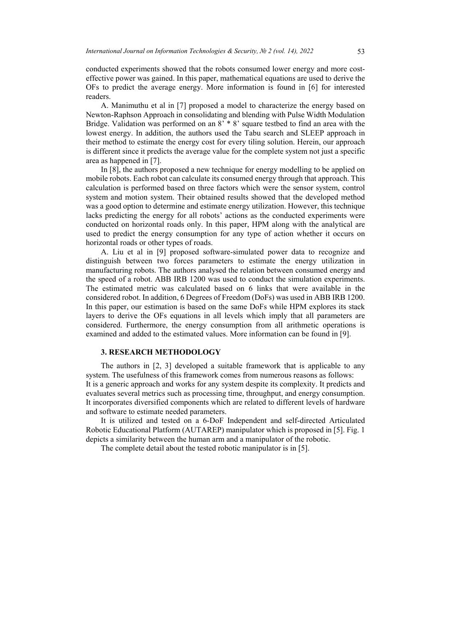conducted experiments showed that the robots consumed lower energy and more costeffective power was gained. In this paper, mathematical equations are used to derive the OFs to predict the average energy. More information is found in [6] for interested readers.

A. Manimuthu et al in [7] proposed a model to characterize the energy based on Newton-Raphson Approach in consolidating and blending with Pulse Width Modulation Bridge. Validation was performed on an  $8' * 8'$  square testbed to find an area with the lowest energy. In addition, the authors used the Tabu search and SLEEP approach in their method to estimate the energy cost for every tiling solution. Herein, our approach is different since it predicts the average value for the complete system not just a specific area as happened in [7].

In [8], the authors proposed a new technique for energy modelling to be applied on mobile robots. Each robot can calculate its consumed energy through that approach. This calculation is performed based on three factors which were the sensor system, control system and motion system. Their obtained results showed that the developed method was a good option to determine and estimate energy utilization. However, this technique lacks predicting the energy for all robots' actions as the conducted experiments were conducted on horizontal roads only. In this paper, HPM along with the analytical are used to predict the energy consumption for any type of action whether it occurs on horizontal roads or other types of roads.

A. Liu et al in [9] proposed software-simulated power data to recognize and distinguish between two forces parameters to estimate the energy utilization in manufacturing robots. The authors analysed the relation between consumed energy and the speed of a robot. ABB IRB 1200 was used to conduct the simulation experiments. The estimated metric was calculated based on 6 links that were available in the considered robot. In addition, 6 Degrees of Freedom (DoFs) was used in ABB IRB 1200. In this paper, our estimation is based on the same DoFs while HPM explores its stack layers to derive the OFs equations in all levels which imply that all parameters are considered. Furthermore, the energy consumption from all arithmetic operations is examined and added to the estimated values. More information can be found in [9].

#### **3. RESEARCH METHODOLOGY**

The authors in [2, 3] developed a suitable framework that is applicable to any system. The usefulness of this framework comes from numerous reasons as follows: It is a generic approach and works for any system despite its complexity. It predicts and evaluates several metrics such as processing time, throughput, and energy consumption. It incorporates diversified components which are related to different levels of hardware and software to estimate needed parameters.

It is utilized and tested on a 6-DoF Independent and self-directed Articulated Robotic Educational Platform (AUTAREP) manipulator which is proposed in [5]. Fig. 1 depicts a similarity between the human arm and a manipulator of the robotic.

The complete detail about the tested robotic manipulator is in [5].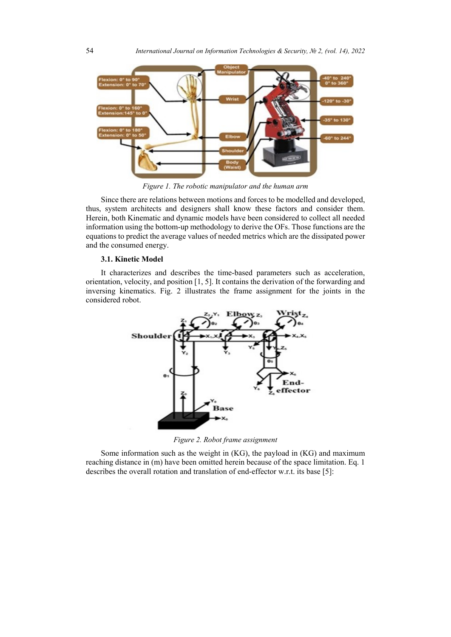

*Figure 1. The robotic manipulator and the human arm*

Since there are relations between motions and forces to be modelled and developed, thus, system architects and designers shall know these factors and consider them. Herein, both Kinematic and dynamic models have been considered to collect all needed information using the bottom-up methodology to derive the OFs. Those functions are the equations to predict the average values of needed metrics which are the dissipated power and the consumed energy.

#### **3.1. Kinetic Model**

It characterizes and describes the time-based parameters such as acceleration, orientation, velocity, and position [1, 5]. It contains the derivation of the forwarding and inversing kinematics. Fig. 2 illustrates the frame assignment for the joints in the considered robot.



*Figure 2. Robot frame assignment*

Some information such as the weight in (KG), the payload in (KG) and maximum reaching distance in (m) have been omitted herein because of the space limitation. Eq. 1 describes the overall rotation and translation of end-effector w.r.t. its base [5]: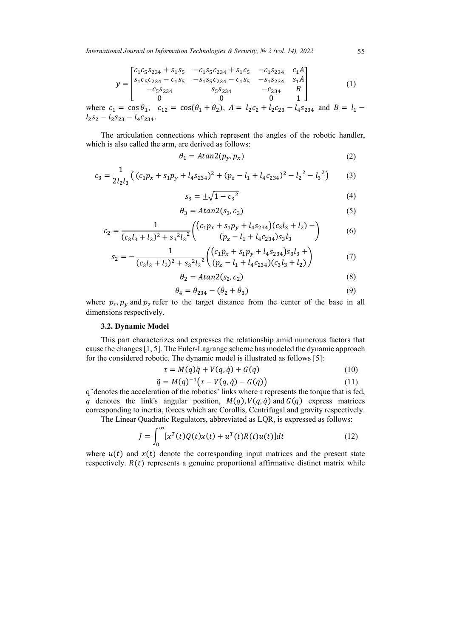*International Journal on Information Technologies & Security, № 2 (vol. 14), 2022* 55

$$
y = \begin{bmatrix} c_1 c_5 s_{234} + s_1 s_5 & -c_1 s_5 c_{234} + s_1 c_5 & -c_1 s_{234} & c_1 A \\ s_1 c_5 c_{234} - c_1 s_5 & -s_1 s_5 c_{234} - c_1 s_5 & -s_1 s_{234} & s_1 A \\ -c_5 s_{234} & s_5 s_{234} & -c_{234} & B \\ 0 & 0 & 0 & 1 \end{bmatrix}
$$
(1)

where  $c_1 = \cos \theta_1$ ,  $c_{12} = \cos(\theta_1 + \theta_2)$ ,  $A = l_2 c_2 + l_2 c_{23} - l_4 s_{234}$  and  $B = l_1 - l_2 s_{23}$  $l_2s_2 - l_2s_{23} - l_4c_{234}.$ 

The articulation connections which represent the angles of the robotic handler, which is also called the arm, are derived as follows:

$$
\theta_1 = Atan2(p_y, p_x) \tag{2}
$$

$$
c_3 = \frac{1}{2l_2l_3} \left( (c_1p_x + s_1p_y + l_4s_{234})^2 + (p_z - l_1 + l_4c_{234})^2 - l_2^2 - l_3^2 \right) \tag{3}
$$

$$
s_3 = \pm \sqrt{1 - {c_3}^2} \tag{4}
$$

$$
\theta_3 = Atan2(s_3, c_3) \tag{5}
$$

$$
c_2 = \frac{1}{(c_3l_3 + l_2)^2 + s_3^2l_3^2} \left( \frac{(c_1p_x + s_1p_y + l_4s_{234})(c_3l_3 + l_2) - (6)}{(p_z - l_1 + l_4c_{234})s_3l_3} \right)
$$

$$
s_2 = -\frac{1}{(c_3l_3 + l_2)^2 + s_3^2l_3^2} \left( \frac{(c_1p_x + s_1p_y + l_4s_{234})s_3l_3 + (c_3l_3 + l_2)^2 + s_3^2l_3^2}{(p_z - l_1 + l_4c_{234})(c_3l_3 + l_2)} \right)
$$
(7)

$$
\theta_2 = Atan2(s_2, c_2) \tag{8}
$$

$$
\theta_4 = \theta_{234} - (\theta_2 + \theta_3) \tag{9}
$$

where  $p_x$ ,  $p_y$  and  $p_z$  refer to the target distance from the center of the base in all dimensions respectively.

#### **3.2. Dynamic Model**

This part characterizes and expresses the relationship amid numerous factors that cause the changes [1, 5]. The Euler-Lagrange scheme has modeled the dynamic approach for the considered robotic. The dynamic model is illustrated as follows [5]:

$$
\tau = M(q)\ddot{q} + V(q, \dot{q}) + G(q) \tag{10}
$$

$$
\ddot{q} = M(q)^{-1} (\tau - V(q, \dot{q}) - G(q))
$$
\n(11)

q ̈ denotes the acceleration of the robotics' links where τ represents the torque that is fed, *q* denotes the link's angular position,  $M(q)$ ,  $V(q, \dot{q})$  and  $G(q)$  express matrices corresponding to inertia, forces which are Corollis, Centrifugal and gravity respectively.

The Linear Quadratic Regulators, abbreviated as LQR, is expressed as follows:

$$
J = \int_0^\infty [x^T(t)Q(t)x(t) + u^T(t)R(t)u(t)]dt
$$
\n(12)

where  $u(t)$  and  $x(t)$  denote the corresponding input matrices and the present state respectively.  $R(t)$  represents a genuine proportional affirmative distinct matrix while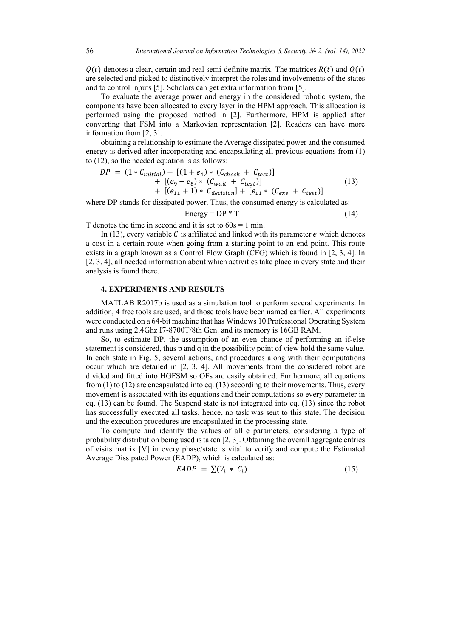$Q(t)$  denotes a clear, certain and real semi-definite matrix. The matrices  $R(t)$  and  $Q(t)$ are selected and picked to distinctively interpret the roles and involvements of the states and to control inputs [5]. Scholars can get extra information from [5].

To evaluate the average power and energy in the considered robotic system, the components have been allocated to every layer in the HPM approach. This allocation is performed using the proposed method in [2]. Furthermore, HPM is applied after converting that FSM into a Markovian representation [2]. Readers can have more information from [2, 3].

obtaining a relationship to estimate the Average dissipated power and the consumed energy is derived after incorporating and encapsulating all previous equations from (1) to (12), so the needed equation is as follows:

$$
DP = (1 * C_{initial}) + [(1 + e_4) * (C_{check} + C_{test})]
$$
  
+ [(e\_9 - e\_8) \* (C\_{wait} + C\_{test})]  
+ [(e\_{11} + 1) \* C\_{decision}] + [e\_{11} \* (C\_{exe} + C\_{test})] (13)

where DP stands for dissipated power. Thus, the consumed energy is calculated as:

$$
Energy = DP * T \tag{14}
$$

T denotes the time in second and it is set to  $60s = 1$  min.

In (13), every variable  $C$  is affiliated and linked with its parameter  $e$  which denotes a cost in a certain route when going from a starting point to an end point. This route exists in a graph known as a Control Flow Graph (CFG) which is found in [2, 3, 4]. In [2, 3, 4], all needed information about which activities take place in every state and their analysis is found there.

#### **4. EXPERIMENTS AND RESULTS**

MATLAB R2017b is used as a simulation tool to perform several experiments. In addition, 4 free tools are used, and those tools have been named earlier. All experiments were conducted on a 64-bit machine that has Windows 10 Professional Operating System and runs using 2.4Ghz I7-8700T/8th Gen. and its memory is 16GB RAM.

So, to estimate DP, the assumption of an even chance of performing an if-else statement is considered, thus p and q in the possibility point of view hold the same value. In each state in Fig. 5, several actions, and procedures along with their computations occur which are detailed in [2, 3, 4]. All movements from the considered robot are divided and fitted into HGFSM so OFs are easily obtained. Furthermore, all equations from (1) to (12) are encapsulated into eq. (13) according to their movements. Thus, every movement is associated with its equations and their computations so every parameter in eq. (13) can be found. The Suspend state is not integrated into eq. (13) since the robot has successfully executed all tasks, hence, no task was sent to this state. The decision and the execution procedures are encapsulated in the processing state.

To compute and identify the values of all e parameters, considering a type of probability distribution being used is taken [2, 3]. Obtaining the overall aggregate entries of visits matrix [V] in every phase/state is vital to verify and compute the Estimated Average Dissipated Power (EADP), which is calculated as:

$$
EADP = \sum (V_i \ast C_i) \tag{15}
$$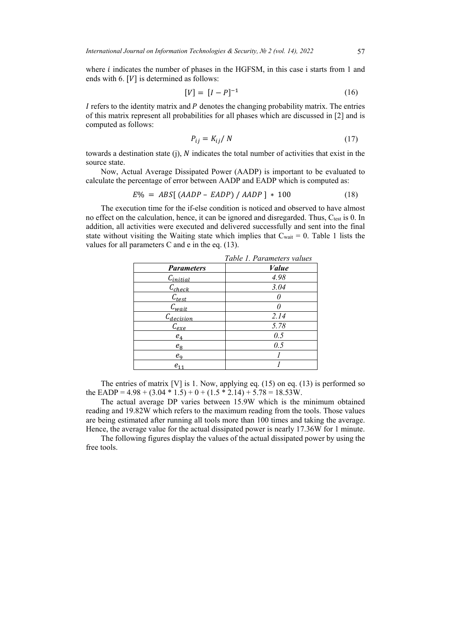where  $i$  indicates the number of phases in the HGFSM, in this case i starts from 1 and ends with 6.  $[V]$  is determined as follows:

$$
[V] = [I - P]^{-1}
$$
\n(16)

I refers to the identity matrix and  $P$  denotes the changing probability matrix. The entries of this matrix represent all probabilities for all phases which are discussed in [2] and is computed as follows:

$$
P_{ij} = K_{ij} / N \tag{17}
$$

towards a destination state  $(i)$ , N indicates the total number of activities that exist in the source state.

Now, Actual Average Dissipated Power (AADP) is important to be evaluated to calculate the percentage of error between AADP and EADP which is computed as:

$$
E\% = ABS[(AADP - EADP) / AADP] * 100 \tag{18}
$$

The execution time for the if-else condition is noticed and observed to have almost no effect on the calculation, hence, it can be ignored and disregarded. Thus,  $C_{test}$  is 0. In addition, all activities were executed and delivered successfully and sent into the final state without visiting the Waiting state which implies that  $C_{wait} = 0$ . Table 1 lists the values for all parameters C and e in the eq. (13).

|                          | Table 1. Parameters values |
|--------------------------|----------------------------|
| <b>Parameters</b>        | <b>Value</b>               |
| $\mathcal{C}_{initial}$  | 4.98                       |
| $\mathcal{C}_{check}$    | 3.04                       |
| $\mathcal{C}_{test}$     |                            |
| $\mathcal{C}_{wait}$     |                            |
| $\mathcal{C}_{decision}$ | 2.14                       |
| $\mathcal{C}_{exe}$      | 5.78                       |
| $e_4$                    | 0.5                        |
| $e_8$                    | 0.5                        |
| e <sub>9</sub>           |                            |
|                          |                            |

The entries of matrix [V] is 1. Now, applying eq. (15) on eq. (13) is performed so the EADP =  $4.98 + (3.04 * 1.5) + 0 + (1.5 * 2.14) + 5.78 = 18.53W$ .

The actual average DP varies between 15.9W which is the minimum obtained reading and 19.82W which refers to the maximum reading from the tools. Those values are being estimated after running all tools more than 100 times and taking the average. Hence, the average value for the actual dissipated power is nearly 17.36W for 1 minute.

The following figures display the values of the actual dissipated power by using the free tools.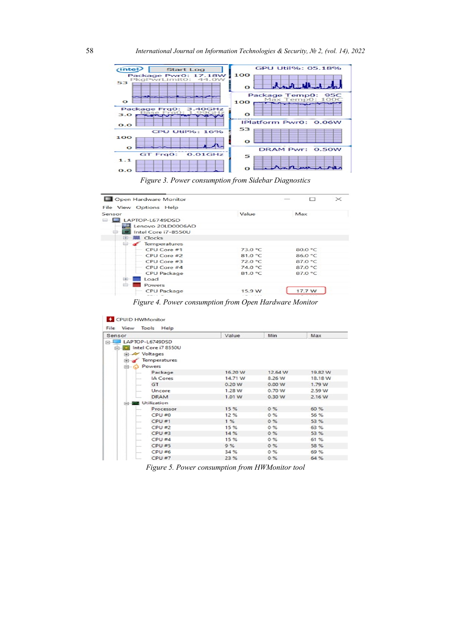

*Figure 3. Power consumption from Sidebar Diagnostics*

| Open Hardware Monitor            |         | $\cdots$ | $\times$ |
|----------------------------------|---------|----------|----------|
| File View Options Help           |         |          |          |
| Sensor                           | Value   | Max      |          |
| <b>E</b> LAPTOP-L6749DSD         |         |          |          |
| Lenovo 20LD0006AD                |         |          |          |
| □ Intel Core i7-8550U            |         |          |          |
| $\mathbb{H}$ $\mathbb{R}$ Clocks |         |          |          |
| Temperatures                     |         |          |          |
| CPU Core #1                      | 73.0 °C | 80.0 °C  |          |
| CPU Core #2                      | 81.0 °C | 86.0 °C  |          |
| CPU Core #3                      | 72.0 °C | 87.0 °C  |          |
| CPU Core #4                      | 74.0 °C | 87.0 °C  |          |
| CPU Package                      | 81.0 °C | 87.0 °C  |          |
| Load<br>æ                        |         |          |          |
| <b>Powers</b>                    |         |          |          |
| CPU Package                      | 15.9 W  | 17.7 W   |          |
|                                  |         |          |          |

*Figure 4. Power consumption from Open Hardware Monitor*

| Sensor |                                        | Value   | Min     | Max     |
|--------|----------------------------------------|---------|---------|---------|
| e-     | LAPTOP-L6749DSD<br>Intel Core i7 8550U |         |         |         |
|        | Woltages                               |         |         |         |
| œ.     | Temperatures                           |         |         |         |
|        | 白-6) Powers                            |         |         |         |
|        | Package                                | 16.20 W | 12.64 W | 19.82 W |
|        | IA Cores                               | 14.71 W | 8.26 W  | 18.18 W |
|        | GT<br>-                                | 0.20 W  | 0.00 W  | 1.79 W  |
|        | Uncore                                 | 1.28 W  | 0.70 W  | 2.59 W  |
|        | <b>DRAM</b>                            | 1.01 W  | 0.30 W  | 2.16 W  |
|        | <b>Utilization</b>                     |         |         |         |
|        | Processor                              | 15 %    | 0.96    | 60 %    |
|        | CPU #0<br>-                            | 12 %    | 0%      | 56 %    |
|        | CPU #1                                 | 1%      | 0%      | 53 %    |
|        | $CPU = 2$                              | 15 %    | 0.96    | 63 %    |
|        | CPU #3                                 | 14 %    | 0%      | 53 %    |
|        | CPU#4                                  | 15 %    | 0%      | 61%     |
|        | CPU#5                                  | 9%      | 0%      | 58 %    |
|        | CPU#6                                  | 34 %    | 0%      | 69 %    |
|        | $CPU = 7$                              | 23 %    | 0%      | 64 %    |
|        |                                        |         |         |         |

*Figure 5. Power consumption from HWMonitor tool*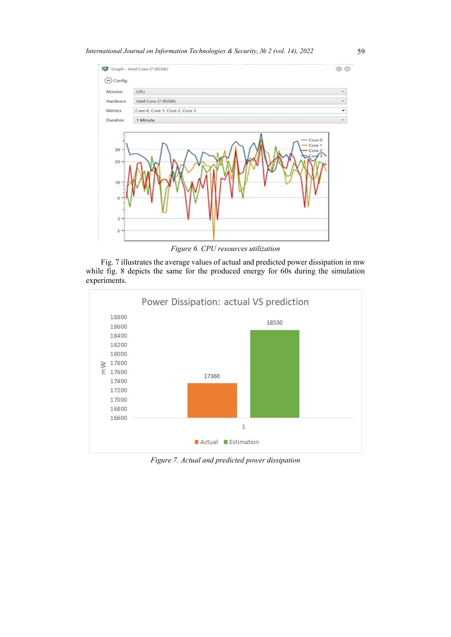#### *International Journal on Information Technologies & Security, № 2 (vol. 14), 2022* 59



*Figure 6. CPU resources utilization*

Fig. 7 illustrates the average values of actual and predicted power dissipation in mw while fig. 8 depicts the same for the produced energy for 60s during the simulation experiments.



*Figure 7. Actual and predicted power dissipation*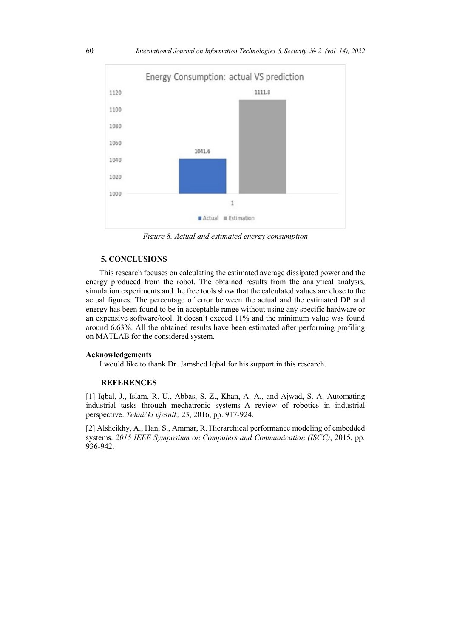

*Figure 8. Actual and estimated energy consumption*

#### **5. CONCLUSIONS**

This research focuses on calculating the estimated average dissipated power and the energy produced from the robot. The obtained results from the analytical analysis, simulation experiments and the free tools show that the calculated values are close to the actual figures. The percentage of error between the actual and the estimated DP and energy has been found to be in acceptable range without using any specific hardware or an expensive software/tool. It doesn't exceed 11% and the minimum value was found around 6.63%. All the obtained results have been estimated after performing profiling on MATLAB for the considered system.

## **Acknowledgements**

I would like to thank Dr. Jamshed Iqbal for his support in this research.

#### **REFERENCES**

[1] Iqbal, J., Islam, R. U., Abbas, S. Z., Khan, A. A., and Ajwad, S. A. Automating industrial tasks through mechatronic systems–A review of robotics in industrial perspective. *Tehnički vjesnik,* 23, 2016, pp. 917-924.

[2] Alsheikhy, A., Han, S., Ammar, R. Hierarchical performance modeling of embedded systems. *2015 IEEE Symposium on Computers and Communication (ISCC)*, 2015, pp. 936-942.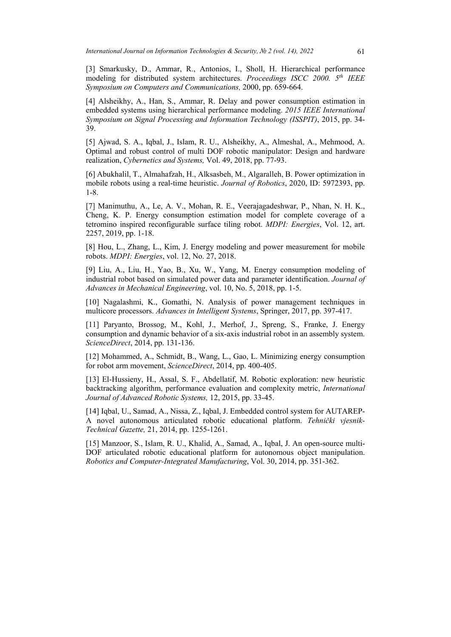[3] Smarkusky, D., Ammar, R., Antonios, I., Sholl, H. Hierarchical performance modeling for distributed system architectures. *Proceedings ISCC 2000. 5th IEEE Symposium on Computers and Communications,* 2000, pp. 659-664.

[4] Alsheikhy, A., Han, S., Ammar, R. Delay and power consumption estimation in embedded systems using hierarchical performance modeling. *2015 IEEE International Symposium on Signal Processing and Information Technology (ISSPIT)*, 2015, pp. 34- 39.

[5] Ajwad, S. A., Iqbal, J., Islam, R. U., Alsheikhy, A., Almeshal, A., Mehmood, A. Optimal and robust control of multi DOF robotic manipulator: Design and hardware realization, *Cybernetics and Systems,* Vol. 49, 2018, pp. 77-93.

[6] Abukhalil, T., Almahafzah, H., Alksasbeh, M., Algaralleh, B. Power optimization in mobile robots using a real-time heuristic. *Journal of Robotics*, 2020, ID: 5972393, pp. 1-8.

[7] Manimuthu, A., Le, A. V., Mohan, R. E., Veerajagadeshwar, P., Nhan, N. H. K., Cheng, K. P. Energy consumption estimation model for complete coverage of a tetromino inspired reconfigurable surface tiling robot. *MDPI: Energies*, Vol. 12, art. 2257, 2019, pp. 1-18.

[8] Hou, L., Zhang, L., Kim, J. Energy modeling and power measurement for mobile robots. *MDPI: Energies*, vol. 12, No. 27, 2018.

[9] Liu, A., Liu, H., Yao, B., Xu, W., Yang, M. Energy consumption modeling of industrial robot based on simulated power data and parameter identification. *Journal of Advances in Mechanical Engineering*, vol. 10, No. 5, 2018, pp. 1-5.

[10] Nagalashmi, K., Gomathi, N. Analysis of power management techniques in multicore processors. *Advances in Intelligent Systems*, Springer, 2017, pp. 397-417.

[11] Paryanto, Brossog, M., Kohl, J., Merhof, J., Spreng, S., Franke, J. Energy consumption and dynamic behavior of a six-axis industrial robot in an assembly system. *ScienceDirect*, 2014, pp. 131-136.

[12] Mohammed, A., Schmidt, B., Wang, L., Gao, L. Minimizing energy consumption for robot arm movement, *ScienceDirect*, 2014, pp. 400-405.

[13] El-Hussieny, H., Assal, S. F., Abdellatif, M. Robotic exploration: new heuristic backtracking algorithm, performance evaluation and complexity metric, *International Journal of Advanced Robotic Systems,* 12, 2015, pp. 33-45.

[14] Iqbal, U., Samad, A., Nissa, Z., Iqbal, J. Embedded control system for AUTAREP-A novel autonomous articulated robotic educational platform. *Tehnički vjesnik-Technical Gazette,* 21, 2014, pp. 1255-1261.

[15] Manzoor, S., Islam, R. U., Khalid, A., Samad, A., Iqbal, J. An open-source multi-DOF articulated robotic educational platform for autonomous object manipulation. *Robotics and Computer-Integrated Manufacturing*, Vol. 30, 2014, pp. 351-362.